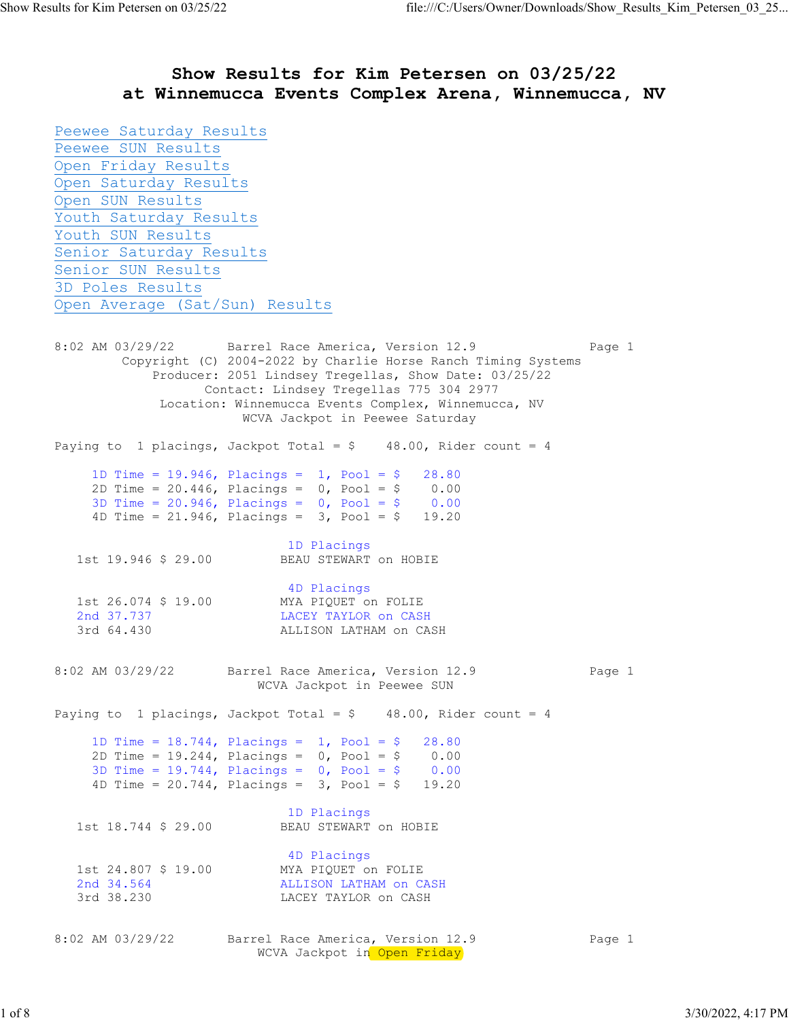## at Winnemucca Events Complex Arena, Winnemucca, NV Peewee Saturday Results Peewee SUN Results Open Friday Results Open Saturday Results Open SUN Results Youth Saturday Results Youth SUN Results Senior Saturday Results Senior SUN Results 3D Poles Results Open Average (Sat/Sun) Results 8:02 AM 03/29/22 Barrel Race America, Version 12.9 Page 1 Copyright (C) 2004-2022 by Charlie Horse Ranch Timing Systems Producer: 2051 Lindsey Tregellas, Show Date: 03/25/22 Contact: Lindsey Tregellas 775 304 2977 Location: Winnemucca Events Complex, Winnemucca, NV WCVA Jackpot in Peewee Saturday Paying to 1 placings, Jackpot Total =  $$ 48.00$ , Rider count = 4 1D Time = 19.946, Placings = 1, Pool = \$ 28.80<br>2D Time = 20.446, Placings = 0, Pool = \$ 0.00 2D Time = 20.446, Placings = 0, Pool = \$ 0.00 3D Time = 20.946, Placings = 0, Pool = \$ 0.00 4D Time = 21.946, Placings = 3, Pool = \$ 19.20 1D Placings 1st 19.946 \$ 29.00 BEAU STEWART on HOBIE 4D Placings 1st 26.074 \$ 19.00 MYA PIQUET on FOLIE 2nd 37.737 LACEY TAYLOR ON CASH 3rd 64.430 ALLISON LATHAM ON CA ALLISON LATHAM on CASH 8:02 AM 03/29/22 Barrel Race America, Version 12.9 Page 1 WCVA Jackpot in Peewee SUN Paying to 1 placings, Jackpot Total =  $$ 48.00$ , Rider count = 4 1D Time = 18.744, Placings = 1, Pool = \$ 28.80 2D Time =  $19.244$ , Placings = 0, Pool = \$ 0.00<br>3D Time =  $19.744$ , Placings = 0, Pool = \$ 0.00 3D Time =  $19.744$ , Placings =  $0$ , Pool = \$ 4D Time = 20.744, Placings = 3, Pool = \$ 19.20 1D Placings 1st 18.744 \$ 29.00 BEAU STEWART on HOBIE 4D Placings 1st 24.807 \$ 19.00 MYA PIQUET on FOLIE 2nd 34.564 ALLISON LATHAM on CASH 3rd 38.230 LACEY TAYLOR on CASH 8:02 AM 03/29/22 Barrel Race America, Version 12.9 Page 1 WCVA Jackpot in Open Friday

Show Results for Kim Petersen on 03/25/22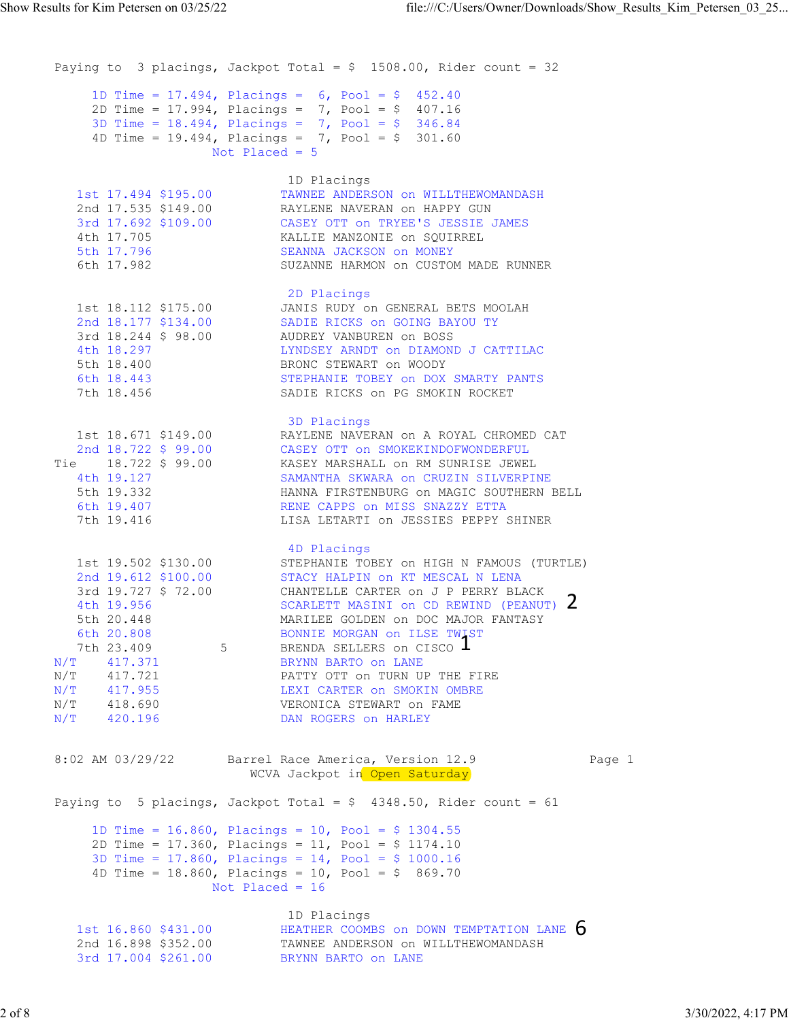```
Paying to 3 placings, Jackpot Total = $ 1508.00, Rider count = 32
     1D Time = 17.494, Placings = 6, Pool = $ 452.40 
     2D Time = 17.994, Placings = 7, Pool = $ 407.16 
     3D Time = 18.494, Placings = 7, Pool = $ 346.84 
       4D Time = 19.494, Placings = 7, Pool = $ 301.60 
                Not Placed = 5 
     1D Placings 
     1st 17.494 $195.00 TAWNEE ANDERSON on WILLTHEWOMANDASH 
     2nd 17.535 $149.00 RAYLENE NAVERAN on HAPPY GUN 
     3rd 17.692 $109.00 CASEY OTT on TRYEE'S JESSIE JAMES 
     4th 17.705 KALLIE MANZONIE on SQUIRREL 
     5th 17.796 SEANNA JACKSON on MONEY 
     6th 17.982 SUZANNE HARMON on CUSTOM MADE RUNNER 
     2D Placings 
     1st 18.112 $175.00 JANIS RUDY on GENERAL BETS MOOLAH 
     2nd 18.177 $134.00 SADIE RICKS on GOING BAYOU TY 
     3rd 18.244 $ 98.00 AUDREY VANBUREN on BOSS 
     4th 18.297 LYNDSEY ARNDT on DIAMOND J CATTILAC 
    5th 18.400 BRONC STEWART on WOODY
     6th 18.443 STEPHANIE TOBEY on DOX SMARTY PANTS 
     7th 18.456 SADIE RICKS on PG SMOKIN ROCKET 
    3D Placings 3D Placings
     1st 18.671 $149.00 RAYLENE NAVERAN on A ROYAL CHROMED CAT 
     2nd 18.722 $ 99.00 CASEY OTT on SMOKEKINDOFWONDERFUL 
    Tie 18.722 $ 99.00 KASEY MARSHALL on RM SUNRISE JEWEL 
     4th 19.127 SAMANTHA SKWARA on CRUZIN SILVERPINE 
     5th 19.332 HANNA FIRSTENBURG on MAGIC SOUTHERN BELL 
     6th 19.407 RENE CAPPS on MISS SNAZZY ETTA 
     7th 19.416 LISA LETARTI on JESSIES PEPPY SHINER 
     4D Placings 
     1st 19.502 $130.00 STEPHANIE TOBEY on HIGH N FAMOUS (TURTLE) 
     2nd 19.612 $100.00 STACY HALPIN on KT MESCAL N LENA 
    3rd 19.727 $ 72.00 CHANTELLE CARTER on J P PERRY BLACK
     4th 19.956 SCARLETT MASINI on CD REWIND (PEANUT) 
     5th 20.448 MARILEE GOLDEN on DOC MAJOR FANTASY 
     6th 20.808 BONNIE MORGAN on ILSE TWIST 
    7th 23.409 5 BRENDA SELLERS on CISCO \blacksquareN/T 417.371 BRYNN BARTO on LANE 
    N/T 417.721 PATTY OTT on TURN UP THE FIRE
    N/T 417.955 LEXI CARTER on SMOKIN OMBRE 
    N/T 418.690 VERONICA STEWART on FAME 
    N/T 420.196 DAN ROGERS on HARLEY 
   8:02 AM 03/29/22 Barrel Race America, Version 12.9 Page 1 
                  WCVA Jackpot in Open Saturday
   Paying to 5 placings, Jackpot Total = $ 4348.50, Rider count = 61
       1D Time = 16.860, Placings = 10, Pool = $ 1304.55 
       2D Time = 17.360, Placings = 11, Pool = $ 1174.10 
       3D Time = 17.860, Placings = 14, Pool = $ 1000.16 
       4D Time = 18.860, Placings = 10, Pool = $ 869.70 
                Not Placed = 16 
     1D Placings 
    1st 16.860 $431.00 \hbox{HEATHER COOMBS} on DOWN TEMPTATION LANE \,\,\mathrm{O} 2nd 16.898 $352.00 TAWNEE ANDERSON on WILLTHEWOMANDASH 
     3rd 17.004 $261.00 BRYNN BARTO on LANE 
Show Results for Kim Petersen on 03/25/22 file:///C:/Users/Owner/Downloads/Show_Results_Kim_Petersen_03_25...<br>Paying to 3 placings, Jackpot Total = $ 1508.00, Rider count = 32
                                   \mathbf{1}2
                                            6
```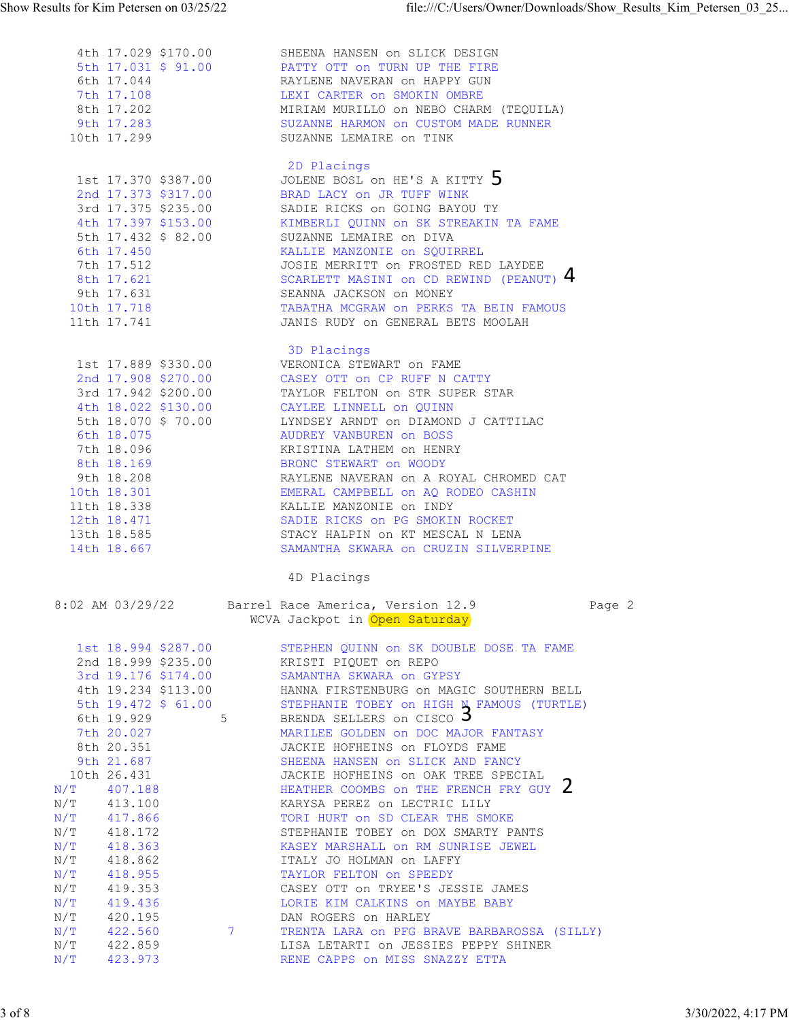| Show Results for Kim Petersen on 03/25/22                                                | file:///C:/Users/Owner/Downloads/Show Results Kim Petersen 03 25                                                                                                |        |
|------------------------------------------------------------------------------------------|-----------------------------------------------------------------------------------------------------------------------------------------------------------------|--------|
| 4th 17.029 \$170.00<br>5th 17.031 \$ 91.00<br>6th 17.044                                 | SHEENA HANSEN on SLICK DESIGN<br>PATTY OTT ON TURN UP THE FIRE<br>RAYLENE NAVERAN on HAPPY GUN                                                                  |        |
| 7th 17.108<br>8th 17.202<br>9th 17.283<br>10th 17.299                                    | LEXI CARTER ON SMOKIN OMBRE<br>MIRIAM MURILLO ON NEBO CHARM (TEQUILA)<br>SUZANNE HARMON on CUSTOM MADE RUNNER<br>SUZANNE LEMAIRE ON TINK                        |        |
| 1st 17.370 \$387.00<br>2nd 17.373 \$317.00                                               | 2D Placings<br>JOLENE BOSL ON HE'S A KITTY 5<br>BRAD LACY on JR TUFF WINK                                                                                       |        |
| 3rd 17.375 \$235.00<br>4th 17.397 \$153.00<br>5th 17.432 \$ 82.00<br>6th 17.450          | SADIE RICKS on GOING BAYOU TY<br>KIMBERLI QUINN ON SK STREAKIN TA FAME<br>SUZANNE LEMAIRE on DIVA<br>KALLIE MANZONIE on SQUIRREL                                |        |
| 7th 17.512<br>8th 17.621<br>9th 17.631                                                   | JOSIE MERRITT ON FROSTED RED LAYDEE<br>SCARLETT MASINI on CD REWIND (PEANUT) 4<br>SEANNA JACKSON on MONEY                                                       |        |
| 10th 17.718<br>11th 17.741                                                               | TABATHA MCGRAW on PERKS TA BEIN FAMOUS<br>JANIS RUDY ON GENERAL BETS MOOLAH<br>3D Placings                                                                      |        |
| 1st 17.889 \$330.00<br>2nd 17.908 \$270.00<br>3rd 17.942 \$200.00<br>4th 18.022 \$130.00 | VERONICA STEWART ON FAME<br>CASEY OTT ON CP RUFF N CATTY<br>TAYLOR FELTON ON STR SUPER STAR<br>CAYLEE LINNELL on QUINN                                          |        |
| 5th 18.070 \$ 70.00<br>6th 18.075<br>7th 18.096<br>8th 18.169                            | LYNDSEY ARNDT ON DIAMOND J CATTILAC<br>AUDREY VANBUREN on BOSS<br>KRISTINA LATHEM ON HENRY<br>BRONC STEWART ON WOODY                                            |        |
| 9th 18.208<br>10th 18.301<br>11th 18.338                                                 | RAYLENE NAVERAN ON A ROYAL CHROMED CAT<br>EMERAL CAMPBELL on AQ RODEO CASHIN<br>KALLIE MANZONIE on INDY                                                         |        |
| 12th 18.471<br>13th 18.585<br>14th 18.667                                                | SADIE RICKS on PG SMOKIN ROCKET<br>STACY HALPIN ON KT MESCAL N LENA<br>SAMANTHA SKWARA on CRUZIN SILVERPINE                                                     |        |
| 8:02 AM 03/29/22                                                                         | 4D Placings<br>Barrel Race America, Version 12.9<br>WCVA Jackpot in Open Saturday                                                                               | Page 2 |
| 1st 18.994 \$287.00<br>2nd 18.999 \$235.00<br>3rd 19.176 \$174.00                        | STEPHEN QUINN ON SK DOUBLE DOSE TA FAME<br>KRISTI PIQUET ON REPO<br>SAMANTHA SKWARA on GYPSY                                                                    |        |
| 4th 19.234 \$113.00<br>5th $19.472$ \$ 61.00<br>6th 19.929<br>7th 20.027                 | HANNA FIRSTENBURG ON MAGIC SOUTHERN BELL<br>STEPHANIE TOBEY ON HIGH N FAMOUS (TURTLE)<br>BRENDA SELLERS on CISCO 5<br>5<br>MARILEE GOLDEN on DOC MAJOR FANTASY  |        |
| 8th 20.351<br>9th 21.687<br>10th 26.431<br>407.188<br>$\rm N/T$                          | JACKIE HOFHEINS on FLOYDS FAME<br>SHEENA HANSEN ON SLICK AND FANCY<br>JACKIE HOFHEINS on OAK TREE SPECIAL<br>HEATHER COOMBS ON THE FRENCH FRY GUY Z             |        |
| N/T<br>413.100<br>N/T<br>417.866<br>$N/T$ 418.172<br>N/T<br>418.363                      | KARYSA PEREZ ON LECTRIC LILY<br>TORI HURT ON SD CLEAR THE SMOKE<br>STEPHANIE TOBEY ON DOX SMARTY PANTS<br>KASEY MARSHALL ON RM SUNRISE JEWEL                    |        |
| N/T<br>418.862<br>N/T<br>418.955<br>N/T<br>419.353<br>N/T<br>419.436<br>420.195<br>N/T   | ITALY JO HOLMAN ON LAFFY<br>TAYLOR FELTON ON SPEEDY<br>CASEY OTT ON TRYEE'S JESSIE JAMES<br>LORIE KIM CALKINS on MAYBE BABY                                     |        |
| N/T<br>422.560<br>N/T<br>422.859<br>N/T<br>423.973                                       | DAN ROGERS on HARLEY<br>TRENTA LARA on PFG BRAVE BARBAROSSA (SILLY)<br>7 <sup>7</sup><br>LISA LETARTI ON JESSIES PEPPY SHINER<br>RENE CAPPS on MISS SNAZZY ETTA |        |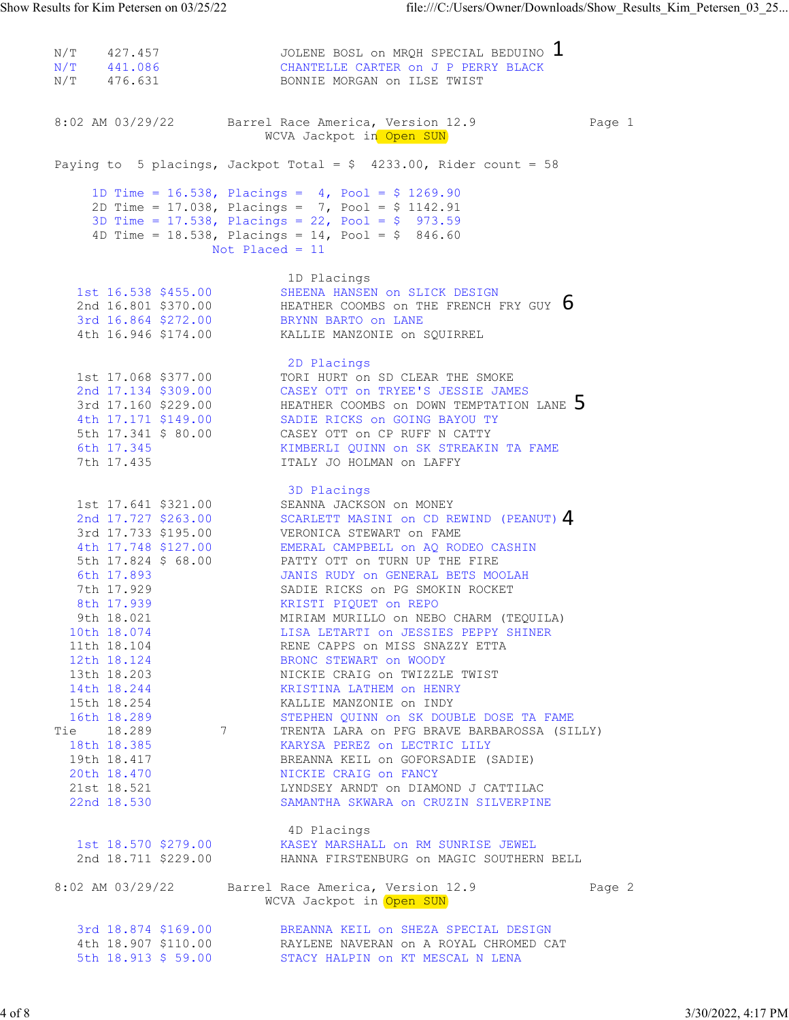N/T 427.457 JOLENE BOSL on MRQH SPECIAL BEDUINO  $\blacksquare$ N/T 441.086 CHANTELLE CARTER on J P PERRY BLACK N/T 476.631 BONNIE MORGAN on ILSE TWIST 8:02 AM 03/29/22 Barrel Race America, Version 12.9 Page 1 WCVA Jackpot in Open SUN Paying to 5 placings, Jackpot Total =  $$$  4233.00, Rider count = 58 1D Time = 16.538, Placings = 4, Pool = \$ 1269.90 2D Time = 17.038, Placings = 7, Pool = \$ 1142.91 3D Time = 17.538, Placings = 22, Pool = \$ 973.59 4D Time = 18.538, Placings = 14, Pool = \$ 846.60 Not Placed = 11 1D Placings 1st 16.538 \$455.00 SHEENA HANSEN on SLICK DESIGN 2nd 16.801 \$370.00  $\,$  HEATHER COOMBS on THE FRENCH FRY GUY  $\,$   $\,$   $\,$   $\,$   $\,$  3rd 16.864 \$272.00 BRYNN BARTO on LANE 4th 16.946 \$174.00 KALLIE MANZONIE on SQUIRREL **2D Placings 2D Placings**  1st 17.068 \$377.00 TORI HURT on SD CLEAR THE SMOKE 2nd 17.134 \$309.00 CASEY OTT on TRYEE'S JESSIE JAMES 3rd 17.160 \$229.00  $\,$  HEATHER COOMBS on DOWN TEMPTATION LANE  $\,$   $\,$  4th 17.171 \$149.00 SADIE RICKS on GOING BAYOU TY 5th 17.341 \$ 80.00 CASEY OTT on CP RUFF N CATTY 6th 17.345 KIMBERLI QUINN on SK STREAKIN TA FAME 7th 17.435 ITALY JO HOLMAN on LAFFY **3D Placings 3D Placings**  1st 17.641 \$321.00 SEANNA JACKSON on MONEY 2nd 17.727 \$263.00  $\,$  SCARLETT MASINI on CD REWIND (PEANUT)  $4\,$  3rd 17.733 \$195.00 VERONICA STEWART on FAME 4th 17.748 \$127.00 EMERAL CAMPBELL on AQ RODEO CASHIN 5th 17.824 \$ 68.00 PATTY OTT on TURN UP THE FIRE 6th 17.893 JANIS RUDY on GENERAL BETS MOOLAH 7th 17.929 SADIE RICKS on PG SMOKIN ROCKET 8th 17.939 KRISTI PIQUET on REPO 9th 18.021 MIRIAM MURILLO on NEBO CHARM (TEQUILA) 10th 18.074 LISA LETARTI on JESSIES PEPPY SHINER 11th 18.104 RENE CAPPS on MISS SNAZZY ETTA 12th 18.124 BRONC STEWART on WOODY 13th 18.203 NICKIE CRAIG on TWIZZLE TWIST 14th 18.244 KRISTINA LATHEM on HENRY 15th 18.254 KALLIE MANZONIE on INDY 16th 18.289 STEPHEN QUINN on SK DOUBLE DOSE TA FAME Tie 18.289 7 TRENTA LARA on PFG BRAVE BARBAROSSA (SILLY) 18th 18.385 KARYSA PEREZ on LECTRIC LILY 19th 18.417 BREANNA KEIL on GOFORSADIE (SADIE) 20th 18.470 NICKIE CRAIG on FANCY 21st 18.521 LYNDSEY ARNDT on DIAMOND J CATTILAC 22nd 18.530 SAMANTHA SKWARA on CRUZIN SILVERPINE 4D Placings 1st 18.570 \$279.00 KASEY MARSHALL on RM SUNRISE JEWEL 2nd 18.711 \$229.00 HANNA FIRSTENBURG on MAGIC SOUTHERN BELL 8:02 AM 03/29/22 Barrel Race America, Version 12.9 Page 2 WCVA Jackpot in Open SUN 3rd 18.874 \$169.00 BREANNA KEIL on SHEZA SPECIAL DESIGN 4th 18.907 \$110.00 RAYLENE NAVERAN on A ROYAL CHROMED CAT 5th 18.913 \$ 59.00 STACY HALPIN on KT MESCAL N LENA Show Results for Kim Petersen on 03/25/22<br>  $\text{file:///C:}/\text{Users}/\text{Owner}/\text{Downloads}/\text{Show}\_\text{Results}\_\text{Kim}\_\text{Petersen}\_\text{03}\_\text{25...}$ <br>
N/T 427.457 JOLENE BOSL on MRQH SPECIAL BEDUINO 1<br>
N/T 441.086 CHANTELLE CARTER on J P PERRY BLACK<br>
N/T 476.631 BO 1 4 5 6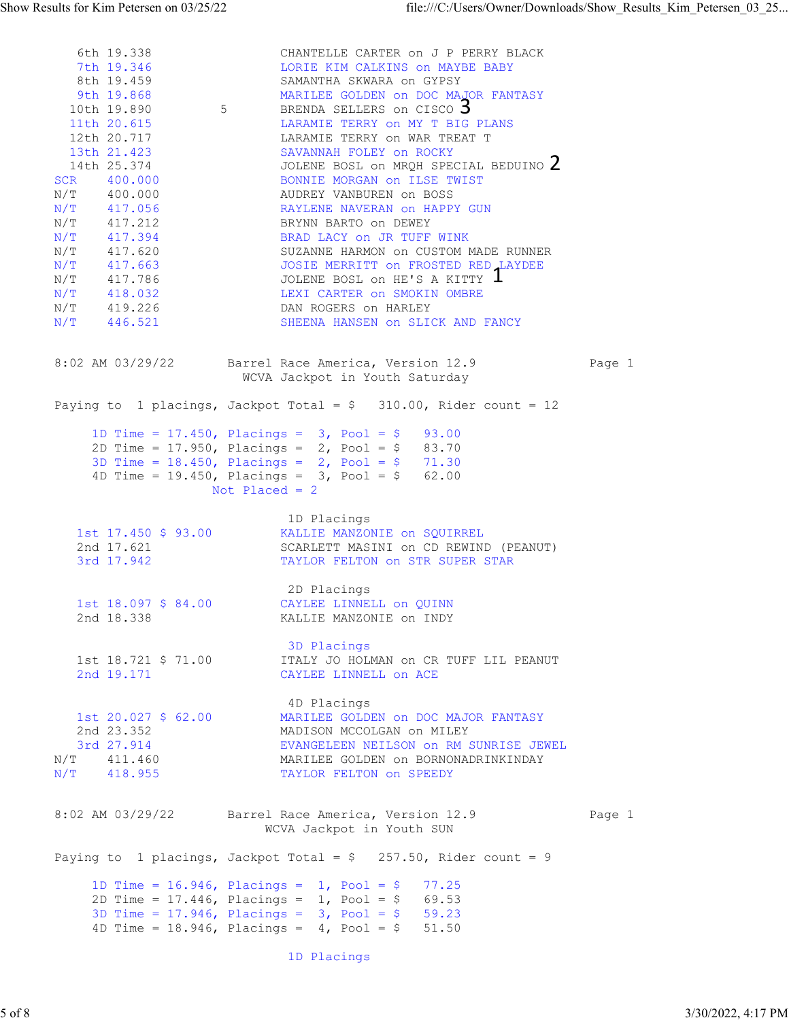6th 19.338 CHANTELLE CARTER on J P PERRY BLACK 7th 19.346 LORIE KIM CALKINS on MAYBE BABY 8th 19.459 SAMANTHA SKWARA on GYPSY 9th 19.868 MARILEE GOLDEN on DOC MAJOR FANTASY 10th 19.890 5 BRENDA SELLERS on CISCO 5 11th 20.615 **LARAMIE TERRY ON MY T BIG PLANS**  12th 20.717 LARAMIE TERRY on WAR TREAT T 13th 21.423 SAVANNAH FOLEY on ROCKY 14th 25.374 JOLENE BOSL on MRQH SPECIAL BEDUINO  $\angle$ SCR 400.000 BONNIE MORGAN ON ILSE TWIST N/T 400.000 AUDREY VANBUREN on BOSS N/T 417.056 RAYLENE NAVERAN on HAPPY GUN N/T 417.212 BRYNN BARTO on DEWEY N/T 417.394 BRAD LACY on JR TUFF WINK N/T 417.620 SUZANNE HARMON on CUSTOM MADE RUNNER N/T 417.663 JOSIE MERRITT on FROSTED RED LAYDEE  $N/T$  417.786 JOLENE BOSL on HE'S A KITTY  $\blacksquare$ N/T 418.032 LEXI CARTER on SMOKIN OMBRE N/T 419.226 DAN ROGERS on HARLEY N/T 446.521 SHEENA HANSEN on SLICK AND FANCY 8:02 AM 03/29/22 Barrel Race America, Version 12.9 Page 1 WCVA Jackpot in Youth Saturday Paying to 1 placings, Jackpot Total = \$ 310.00, Rider count = 12 1D Time =  $17.450$ , Placings =  $3$ , Pool =  $$$  93.00 2D Time = 17.950, Placings = 2, Pool = \$ 83.70 3D Time = 18.450, Placings = 2, Pool = \$ 71.30 4D Time = 19.450, Placings = 3, Pool = \$ 62.00 Not Placed = 2 1D Placings 1st 17.450 \$ 93.00 KALLIE MANZONIE on SQUIRREL 2nd 17.621 SCARLETT MASINI on CD REWIND (PEANUT) 3rd 17.942 TAYLOR FELTON on STR SUPER STAR 2D Placings 1st 18.097 \$ 84.00 CAYLEE LINNELL on QUINN 2nd 18.338 KALLIE MANZONIE on INDY **3D Placings 3D Placings**  1st 18.721 \$ 71.00 ITALY JO HOLMAN on CR TUFF LIL PEANUT 2nd 19.171 CAYLEE LINNELL on ACE 4D Placings 1st 20.027 \$ 62.00 MARILEE GOLDEN on DOC MAJOR FANTASY 2nd 23.352 MADISON MCCOLGAN on MILEY 3rd 27.914 EVANGELEEN NEILSON on RM SUNRISE JEWEL N/T 411.460 MARILEE GOLDEN on BORNONADRINKINDAY N/T 418.955 TAYLOR FELTON on SPEEDY 8:02 AM 03/29/22 Barrel Race America, Version 12.9 Page 1 WCVA Jackpot in Youth SUN Paying to 1 placings, Jackpot Total =  $\frac{6}{7}$  257.50, Rider count = 9 1D Time = 16.946, Placings = 1, Pool = \$ 77.25 2D Time = 17.446, Placings = 1, Pool = \$ 69.53 3D Time =  $17.946$ , Placings =  $3$ , Pool =  $$$  59.23 4D Time = 18.946, Placings = 4, Pool = \$ 51.50 Show Results for Kim Petersen on 03/25/22<br>
file:///C:/Users/Owner/Downloads/Show\_Results\_Kim\_Petersen\_03\_25...<br>
6th 19.338<br>
7th 19.346<br>
5ERANTELLE CARTER ON J P PERRY BLACK<br>
8th 19.459<br>
SAMANTHA SKWARA ON GYPSY<br>
SAMANTHA S 5/7 (1971-31)<br>
6/7 (1971-31)<br>
6/7 (1972-3)<br>
6/7 (1972-3)<br>
6/7 (1972-4)<br>
6/7 (1972-4)<br>
6/7 (1972-4)<br>
6/3 (1972-4)<br>
6/7 (1972-4)<br>
6/7 (1972-4)<br>
6/7 (1972-4)<br>
6/7 (1972-4)<br>
6/7 (1972-4)<br>
6/7 (1972-4)<br>
6/7 (1972-4)<br>
6/7 (197 2 3

1D Placings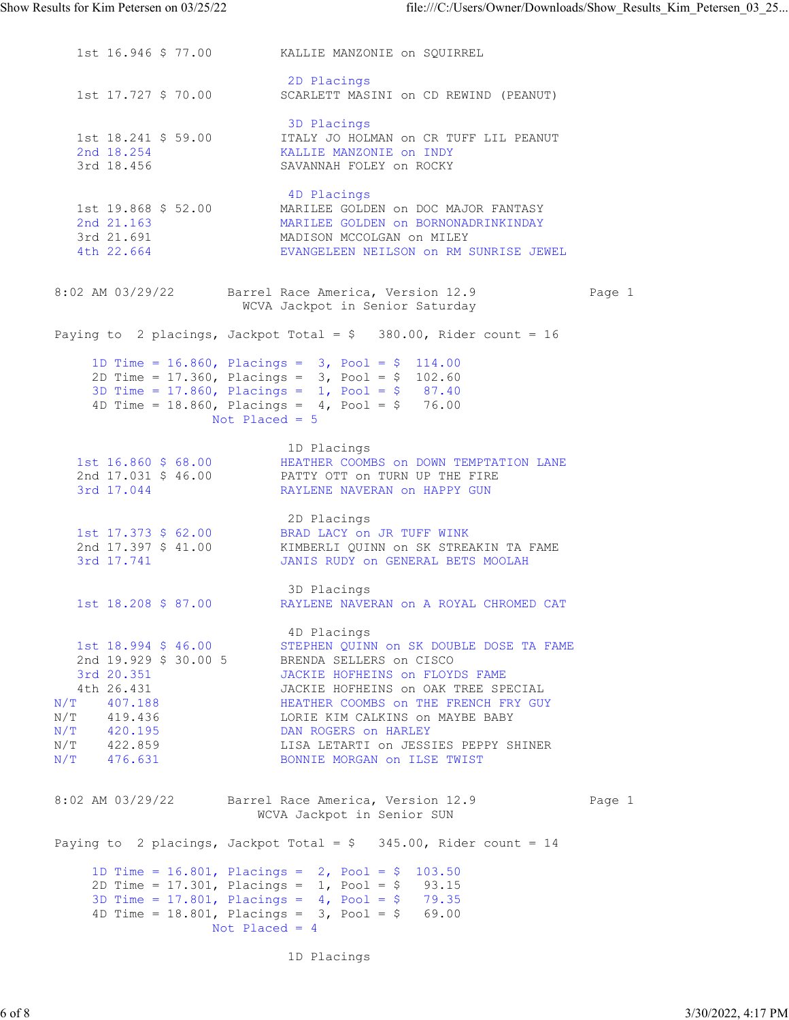1st 16.946 \$ 77.00 KALLIE MANZONIE on SQUIRREL 2D Placings 1st 17.727 \$ 70.00 SCARLETT MASINI on CD REWIND (PEANUT) **3D Placings 3D Placings**  1st 18.241 \$ 59.00 ITALY JO HOLMAN on CR TUFF LIL PEANUT 2nd 18.254 KALLIE MANZONIE on INDY 3rd 18.456 SAVANNAH FOLEY on ROCKY 4D Placings 1st 19.868 \$ 52.00 MARILEE GOLDEN on DOC MAJOR FANTASY 2nd 21.163 MARILEE GOLDEN on BORNONADRINKINDAY 3rd 21.691 MADISON MCCOLGAN on MILEY 4th 22.664 EVANGELEEN NEILSON on RM SUNRISE JEWEL 8:02 AM 03/29/22 Barrel Race America, Version 12.9 Page 1 WCVA Jackpot in Senior Saturday Paying to 2 placings, Jackpot Total =  $\frac{1}{2}$  380.00, Rider count = 16 1D Time =  $16.860$ , Placings =  $3$ , Pool =  $$$  114.00 2D Time = 17.360, Placings = 3, Pool = \$ 102.60 3D Time = 17.860, Placings = 1, Pool = \$ 87.40 4D Time = 18.860, Placings = 4, Pool = \$ 76.00 Not Placed = 5 1D Placings 1st 16.860 \$ 68.00 HEATHER COOMBS on DOWN TEMPTATION LANE 2nd 17.031 \$ 46.00 PATTY OTT on TURN UP THE FIRE 3rd 17.044 RAYLENE NAVERAN on HAPPY GUN 2D Placings 1st 17.373 \$ 62.00 BRAD LACY on JR TUFF WINK 2nd 17.397 \$ 41.00 KIMBERLI QUINN on SK STREAKIN TA FAME 3rd 17.741 JANIS RUDY on GENERAL BETS MOOLAH 3D Placings 1st 18.208 \$ 87.00 RAYLENE NAVERAN on A ROYAL CHROMED CAT 4D Placings 1st 18.994 \$ 46.00 STEPHEN QUINN on SK DOUBLE DOSE TA FAME 2nd 19.929 \$ 30.00 5 BRENDA SELLERS on CISCO 3rd 20.351 JACKIE HOFHEINS on FLOYDS FAME 4th 26.431 JACKIE HOFHEINS on OAK TREE SPECIAL N/T 407.188 HEATHER COOMBS on THE FRENCH FRY GUY N/T 419.436 LORIE KIM CALKINS on MAYBE BABY N/T 420.195 DAN ROGERS on HARLEY N/T 422.859 LISA LETARTI on JESSIES PEPPY SHINER N/T 476.631 BONNIE MORGAN ON ILSE TWIST 8:02 AM 03/29/22 Barrel Race America, Version 12.9 Page 1 WCVA Jackpot in Senior SUN Paying to 2 placings, Jackpot Total =  $$345.00$ , Rider count = 14 1D Time = 16.801, Placings = 2, Pool = \$ 103.50 2D Time = 17.301, Placings = 1, Pool = \$ 93.15 3D Time = 17.801, Placings = 4, Pool = \$ 79.35 4D Time = 18.801, Placings = 3, Pool = \$ 69.00 Not Placed = 4 Show Results for Kim Petersen on 03/25/22 file:///C:/Users/Owner/Downloads/Show\_Results\_Kim\_Petersen\_03\_25...<br>1st 16.946 \$77.00 KALLIE MANZONIE on SQUIRREL<br>2D Placings

1D Placings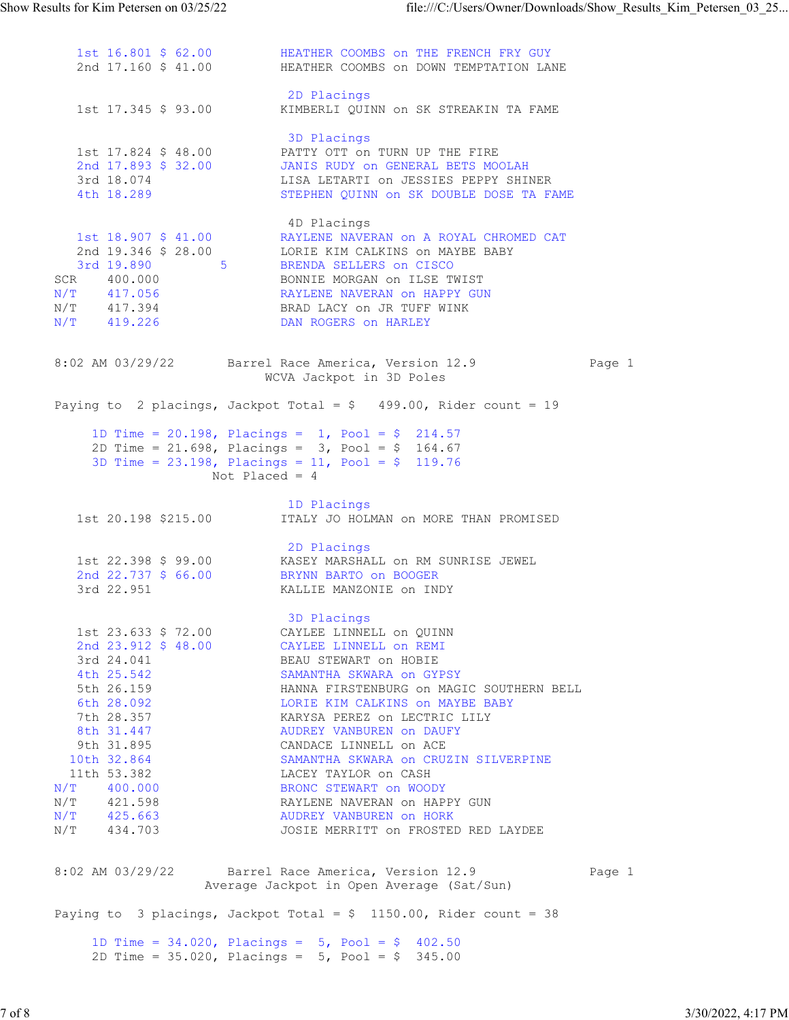1st 16.801 \$ 62.00 HEATHER COOMBS on THE FRENCH FRY GUY 2nd 17.160 \$ 41.00 HEATHER COOMBS on DOWN TEMPTATION LANE **2D Placings 2D Placings**  1st 17.345 \$ 93.00 KIMBERLI QUINN on SK STREAKIN TA FAME **3D Placings 3D Placings**  1st 17.824 \$ 48.00 PATTY OTT on TURN UP THE FIRE 2nd 17.893 \$ 32.00 JANIS RUDY on GENERAL BETS MOOLAH 3rd 18.074 LISA LETARTI on JESSIES PEPPY SHINER 4th 18.289 STEPHEN QUINN on SK DOUBLE DOSE TA FAME 4D Placings 1st 18.907 \$ 41.00 RAYLENE NAVERAN on A ROYAL CHROMED CAT 2nd 19.346 \$ 28.00 LORIE KIM CALKINS on MAYBE BABY 3rd 19.890 5 BRENDA SELLERS on CISCO SCR 400.000 BONNIE MORGAN on ILSE TWIST N/T 417.056 RAYLENE NAVERAN on HAPPY GUN N/T 417.394 BRAD LACY on JR TUFF WINK N/T 419.226 DAN ROGERS on HARLEY 8:02 AM 03/29/22 Barrel Race America, Version 12.9 Page 1 WCVA Jackpot in 3D Poles Paying to 2 placings, Jackpot Total =  $$ 499.00$ , Rider count = 19 1D Time = 20.198, Placings = 1, Pool = \$ 214.57 2D Time = 21.698, Placings = 3, Pool = \$ 164.67 3D Time = 23.198, Placings = 11, Pool = \$ 119.76 Not Placed = 4 1D Placings<br>1st 20.198 \$215.00 1TALY JO HOL ITALY JO HOLMAN on MORE THAN PROMISED 2D Placings 1st 22.398 \$ 99.00 KASEY MARSHALL on RM SUNRISE JEWEL 2nd 22.737 \$ 66.00 BRYNN BARTO on BOOGER 3rd 22.951 KALLIE MANZONIE on INDY **3D Placings 3D Placings**  1st 23.633 \$ 72.00 CAYLEE LINNELL on QUINN 2nd 23.912 \$ 48.00 CAYLEE LINNELL on REMI 3rd 24.041 BEAU STEWART on HOBIE 4th 25.542 SAMANTHA SKWARA on GYPSY 5th 26.159 HANNA FIRSTENBURG on MAGIC SOUTHERN BELL 6th 28.092 LORIE KIM CALKINS on MAYBE BABY 7th 28.357 KARYSA PEREZ on LECTRIC LILY 8th 31.447 AUDREY VANBUREN ON DAUFY 9th 31.895 CANDACE LINNELL on ACE 10th 32.864 SAMANTHA SKWARA on CRUZIN SILVERPINE 11th 53.382 LACEY TAYLOR on CASH N/T 400.000 BRONC STEWART on WOODY N/T 421.598 RAYLENE NAVERAN on HAPPY GUN N/T 425.663 AUDREY VANBUREN on HORK N/T 434.703 JOSIE MERRITT on FROSTED RED LAYDEE 8:02 AM 03/29/22 Barrel Race America, Version 12.9 Page 1 Average Jackpot in Open Average (Sat/Sun) Paying to 3 placings, Jackpot Total =  $$ 1150.00$ , Rider count = 38 1D Time =  $34.020$ , Placings =  $5$ , Pool =  $$$  402.50 2D Time = 35.020, Placings = 5, Pool = \$ 345.00 Show Results for Kim Petersen on 03/25/22<br>
1st 16.801 \$ 62.00<br>
2nd 17.160 \$ 41.00<br>
ABATHER COOMBS on THE FRENCH FRY GUY<br>
2nd 17.160 \$ 41.00<br>
2nd Paper Street